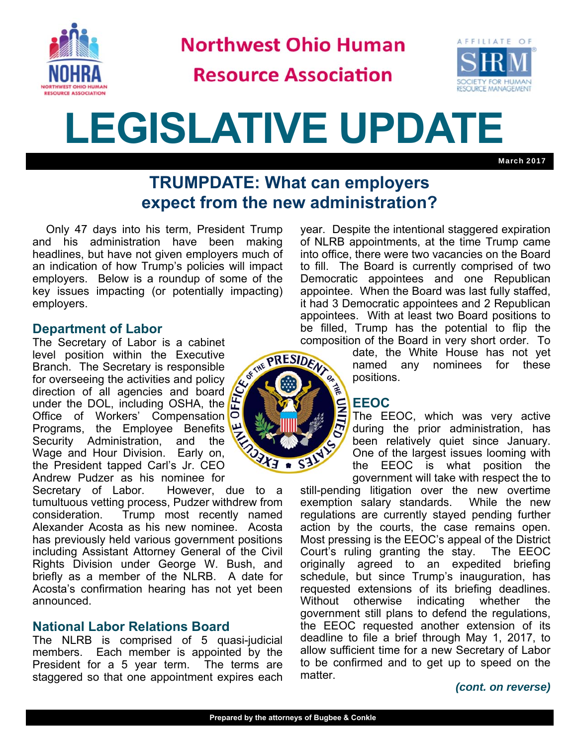

**Northwest Ohio Human** 

**Resource Association** 



# **LEGISLATIVE UPDATE**

March 2017

# **TRUMPDATE: What can employers expect from the new administration?**

Only 47 days into his term, President Trump and his administration have been making headlines, but have not given employers much of an indication of how Trump's policies will impact employers. Below is a roundup of some of the key issues impacting (or potentially impacting) employers.

# **Department of Labor**

The Secretary of Labor is a cabinet level position within the Executive Branch. The Secretary is responsible for overseeing the activities and policy direction of all agencies and board under the DOL, including OSHA, the Office of Workers' Compensation Programs, the Employee Benefits Security Administration, and the Wage and Hour Division. Early on, the President tapped Carl's Jr. CEO Andrew Pudzer as his nominee for<br>Secretary of Labor. However.



However, due to a tumultuous vetting process, Pudzer withdrew from consideration. Trump most recently named Alexander Acosta as his new nominee. Acosta has previously held various government positions including Assistant Attorney General of the Civil Rights Division under George W. Bush, and briefly as a member of the NLRB. A date for Acosta's confirmation hearing has not yet been announced.

# **National Labor Relations Board**

The NLRB is comprised of 5 quasi-judicial members. Each member is appointed by the President for a 5 year term. The terms are staggered so that one appointment expires each year. Despite the intentional staggered expiration of NLRB appointments, at the time Trump came into office, there were two vacancies on the Board to fill. The Board is currently comprised of two Democratic appointees and one Republican appointee. When the Board was last fully staffed, it had 3 Democratic appointees and 2 Republican appointees. With at least two Board positions to be filled, Trump has the potential to flip the composition of the Board in very short order. To

> date, the White House has not yet named any nominees for these positions.

#### **EEOC**

The EEOC, which was very active during the prior administration, has been relatively quiet since January. One of the largest issues looming with the EEOC is what position the government will take with respect the to

still-pending litigation over the new overtime exemption salary standards. While the new regulations are currently stayed pending further action by the courts, the case remains open. Most pressing is the EEOC's appeal of the District Court's ruling granting the stay. The EEOC originally agreed to an expedited briefing schedule, but since Trump's inauguration, has requested extensions of its briefing deadlines. Without otherwise indicating whether the government still plans to defend the regulations, the EEOC requested another extension of its deadline to file a brief through May 1, 2017, to allow sufficient time for a new Secretary of Labor to be confirmed and to get up to speed on the matter.

#### *(cont. on reverse)*